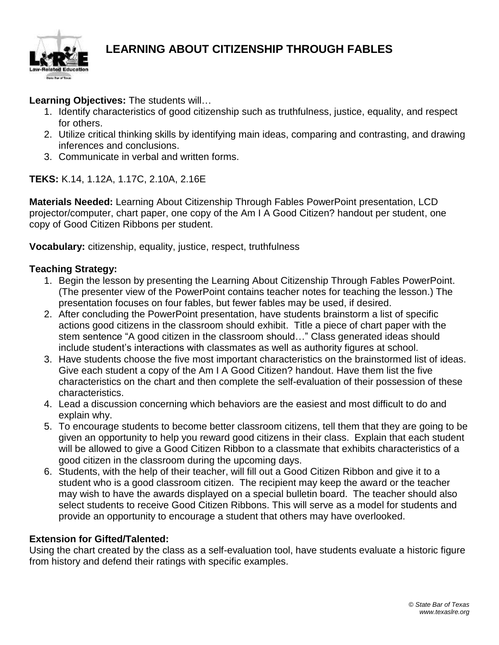

## **LEARNING ABOUT CITIZENSHIP THROUGH FABLES**

**Learning Objectives:** The students will…

- 1. Identify characteristics of good citizenship such as truthfulness, justice, equality, and respect for others.
- 2. Utilize critical thinking skills by identifying main ideas, comparing and contrasting, and drawing inferences and conclusions.
- 3. Communicate in verbal and written forms.

**TEKS:** K.14, 1.12A, 1.17C, 2.10A, 2.16E

**Materials Needed:** Learning About Citizenship Through Fables PowerPoint presentation, LCD projector/computer, chart paper, one copy of the Am I A Good Citizen? handout per student, one copy of Good Citizen Ribbons per student.

**Vocabulary:** citizenship, equality, justice, respect, truthfulness

## **Teaching Strategy:**

- 1. Begin the lesson by presenting the Learning About Citizenship Through Fables PowerPoint. (The presenter view of the PowerPoint contains teacher notes for teaching the lesson.) The presentation focuses on four fables, but fewer fables may be used, if desired.
- 2. After concluding the PowerPoint presentation, have students brainstorm a list of specific actions good citizens in the classroom should exhibit. Title a piece of chart paper with the stem sentence "A good citizen in the classroom should…" Class generated ideas should include student's interactions with classmates as well as authority figures at school.
- 3. Have students choose the five most important characteristics on the brainstormed list of ideas. Give each student a copy of the Am I A Good Citizen? handout. Have them list the five characteristics on the chart and then complete the self-evaluation of their possession of these characteristics.
- 4. Lead a discussion concerning which behaviors are the easiest and most difficult to do and explain why.
- 5. To encourage students to become better classroom citizens, tell them that they are going to be given an opportunity to help you reward good citizens in their class. Explain that each student will be allowed to give a Good Citizen Ribbon to a classmate that exhibits characteristics of a good citizen in the classroom during the upcoming days.
- 6. Students, with the help of their teacher, will fill out a Good Citizen Ribbon and give it to a student who is a good classroom citizen. The recipient may keep the award or the teacher may wish to have the awards displayed on a special bulletin board. The teacher should also select students to receive Good Citizen Ribbons. This will serve as a model for students and provide an opportunity to encourage a student that others may have overlooked.

## **Extension for Gifted/Talented:**

Using the chart created by the class as a self-evaluation tool, have students evaluate a historic figure from history and defend their ratings with specific examples.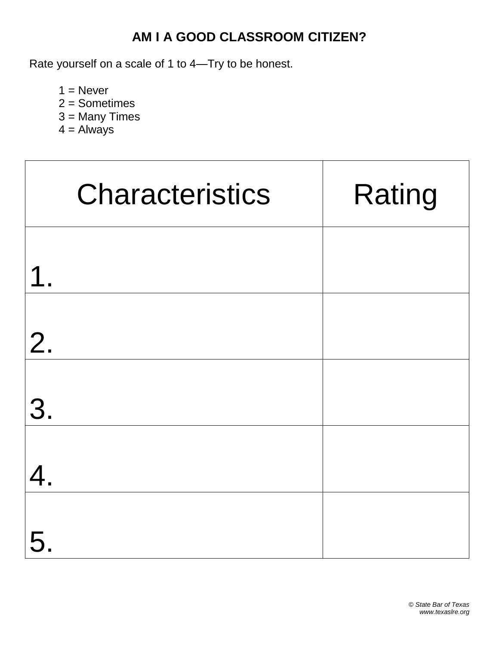## **AM I A GOOD CLASSROOM CITIZEN?**

Rate yourself on a scale of 1 to 4—Try to be honest.

 $1 =$  Never

- 2 = Sometimes
- 3 = Many Times
- $4 =$  Always

|                         | <b>Characteristics</b> | Rating |
|-------------------------|------------------------|--------|
| $\overline{\mathbf{1}}$ |                        |        |
| 2.                      |                        |        |
| 3.                      |                        |        |
| 4.                      |                        |        |
| 5                       |                        |        |